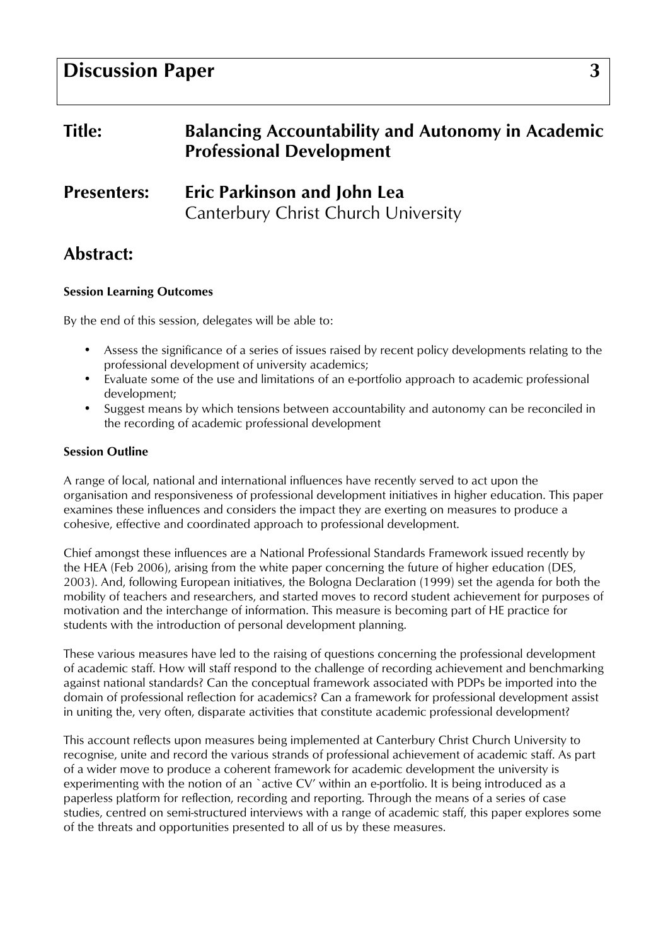# **Discussion Paper** 3

| <b>Title:</b>      | <b>Balancing Accountability and Autonomy in Academic</b><br><b>Professional Development</b> |
|--------------------|---------------------------------------------------------------------------------------------|
| <b>Presenters:</b> | <b>Eric Parkinson and John Lea</b><br>Canterbury Christ Church University                   |

# Abstract:

# Session Learning Outcomes

By the end of this session, delegates will be able to:

- Assess the significance of a series of issues raised by recent policy developments relating to the professional development of university academics;
- Evaluate some of the use and limitations of an e-portfolio approach to academic professional development;
- Suggest means by which tensions between accountability and autonomy can be reconciled in the recording of academic professional development

#### Session Outline

A range of local, national and international influences have recently served to act upon the organisation and responsiveness of professional development initiatives in higher education. This paper examines these influences and considers the impact they are exerting on measures to produce a cohesive, effective and coordinated approach to professional development.

Chief amongst these influences are a National Professional Standards Framework issued recently by the HEA (Feb 2006), arising from the white paper concerning the future of higher education (DES, 2003). And, following European initiatives, the Bologna Declaration (1999) set the agenda for both the mobility of teachers and researchers, and started moves to record student achievement for purposes of motivation and the interchange of information. This measure is becoming part of HE practice for students with the introduction of personal development planning.

These various measures have led to the raising of questions concerning the professional development of academic staff. How will staff respond to the challenge of recording achievement and benchmarking against national standards? Can the conceptual framework associated with PDPs be imported into the domain of professional reflection for academics? Can a framework for professional development assist in uniting the, very often, disparate activities that constitute academic professional development?

This account reflects upon measures being implemented at Canterbury Christ Church University to recognise, unite and record the various strands of professional achievement of academic staff. As part of a wider move to produce a coherent framework for academic development the university is experimenting with the notion of an `active CV' within an e-portfolio. It is being introduced as a paperless platform for reflection, recording and reporting. Through the means of a series of case studies, centred on semi-structured interviews with a range of academic staff, this paper explores some of the threats and opportunities presented to all of us by these measures.